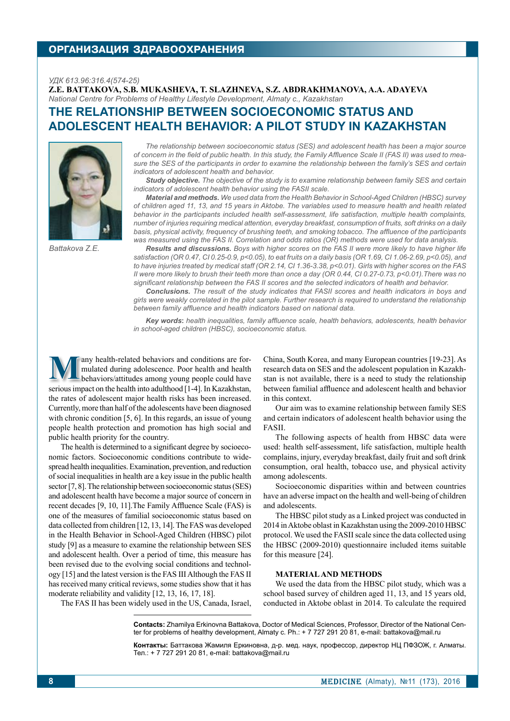## **организация здравоохранения**

#### *УДК 613.96:316.4(574-25)*

**Z.E. Battakova, S.B. Mukasheva, T. Slazhneva, S.Z. Abdrakhmanova, A.A. Adayeva**  *National Centre for Problems of Healthy Lifestyle Development, Almaty c., Kazakhstan*

# **The relationship between socioeconomic status and adolescent health behavior: A pilot study in Kazakhstan**



*Battakova Z.E.* 

*The relationship between socioeconomic status (SES) and adolescent health has been a major source of concern in the field of public health. In this study, the Family Affluence Scale II (FAS II) was used to measure the SES of the participants in order to examine the relationship between the family's SES and certain indicators of adolescent health and behavior.*

*Study objective. The objective of the study is to examine relationship between family SES and certain indicators of adolescent health behavior using the FASII scale.* 

*Material and methods. We used data from the Health Behavior in School-Aged Children (HBSC) survey of children aged 11, 13, and 15 years in Aktobe. The variables used to measure health and health related behavior in the participants included health self-assessment, life satisfaction, multiple health complaints, number of injuries requiring medical attention, everyday breakfast, consumption of fruits, soft drinks on a daily basis, physical activity, frequency of brushing teeth, and smoking tobacco. The affluence of the participants was measured using the FAS II. Correlation and odds ratios (OR) methods were used for data analysis.*

*Results and discussions. Boys with higher scores on the FAS II were more likely to have higher life satisfaction (OR 0.47, CI 0.25-0.9, p<0.05), to eat fruits on a daily basis (OR 1.69, CI 1.06-2.69, p<0.05), and to have injuries treated by medical staff (OR 2.14, CI 1.36-3.38, p<0.01). Girls with higher scores on the FAS II were more likely to brush their teeth more than once a day (OR 0.44, CI 0.27-0.73, p<0.01).There was no significant relationship between the FAS II scores and the selected indicators of health and behavior.*

*Conclusions. The result of the study indicates that FASII scores and health indicators in boys and girls were weakly correlated in the pilot sample. Further research is required to understand the relationship between family affluence and health indicators based on national data.* 

*Key words***:** *health inequalities, family affluence scale, health behaviors, adolescents, health behavior in school-aged children (HBSC), socioeconomic status.*

in this context.

FASII.

**Many health-related behaviors and conditions are formulated during adolescence. Poor health and health behaviors/attitudes among young people could have** mulated during adolescence. Poor health and health serious impact on the health into adulthood [1-4]. In Kazakhstan, the rates of adolescent major health risks has been increased. Currently, more than half of the adolescents have been diagnosed with chronic condition [5, 6]. In this regards, an issue of young people health protection and promotion has high social and public health priority for the country.

The health is determined to a significant degree by socioeconomic factors. Socioeconomic conditions contribute to widespread health inequalities. Examination, prevention, and reduction of social inequalities in health are a key issue in the public health sector [7, 8]. The relationship between socioeconomic status (SES) and adolescent health have become a major source of concern in recent decades [9, 10, 11].The Family Affluence Scale (FAS) is one of the measures of familial socioeconomic status based on data collected from children [12, 13, 14]. The FAS was developed in the Health Behavior in School-Aged Children (HBSC) pilot study [9] as a measure to examine the relationship between SES and adolescent health. Over a period of time, this measure has been revised due to the evolving social conditions and technology [15] and the latest version is the FAS III Although the FAS II has received many critical reviews, some studies show that it has moderate reliability and validity [12, 13, 16, 17, 18].

complains, injury, everyday breakfast, daily fruit and soft drink consumption, oral health, tobacco use, and physical activity among adolescents. Socioeconomic disparities within and between countries

have an adverse impact on the health and well-being of children and adolescents.

China, South Korea, and many European countries [19-23]. As research data on SES and the adolescent population in Kazakhstan is not available, there is a need to study the relationship between familial affluence and adolescent health and behavior

Our aim was to examine relationship between family SES and certain indicators of adolescent health behavior using the

The following aspects of health from HBSC data were used: health self-assessment, life satisfaction, multiple health

The HBSC pilot study as a Linked project was conducted in 2014 in Aktobe oblast in Kazakhstan using the 2009-2010 HBSC protocol. We used the FASII scale since the data collected using the HBSC (2009-2010) questionnaire included items suitable for this measure [24].

## **Material and methods**

We used the data from the HBSC pilot study, which was a school based survey of children aged 11, 13, and 15 years old, conducted in Aktobe oblast in 2014. To calculate the required

The FAS II has been widely used in the US, Canada, Israel,

**Contacts:** Zhamilya Erkinovna Battakova, Doctor of Medical Sciences, Professor, Director of the National Center for problems of healthy development, Almaty c. Ph.: + 7 727 291 20 81, e-mail: battakova@mail.ru

**Контакты:** Баттакова Жамиля Еркиновна, д-р. мед. наук, профессор, директор НЦ ПФЗОЖ, г. Алматы. Тел.: + 7 727 291 20 81, e-mail: battakova@mail.ru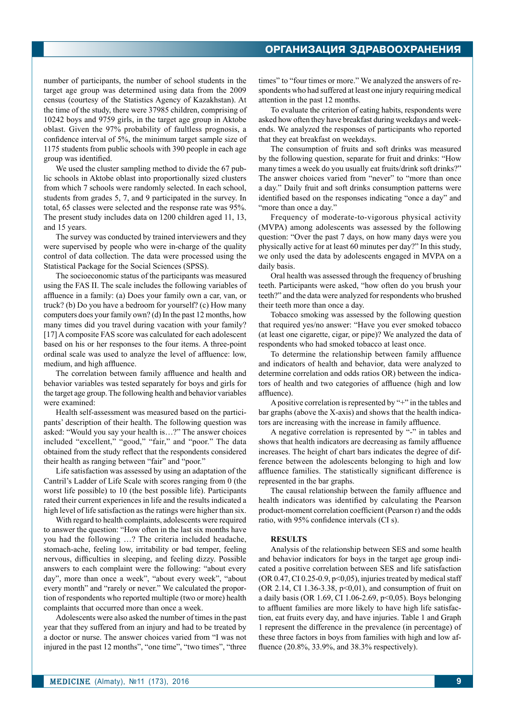number of participants, the number of school students in the target age group was determined using data from the 2009 census (courtesy of the Statistics Agency of Kazakhstan). At the time of the study, there were 37985 children, comprising of 10242 boys and 9759 girls, in the target age group in Aktobe oblast. Given the 97% probability of faultless prognosis, a confidence interval of 5%, the minimum target sample size of 1175 students from public schools with 390 people in each age group was identified.

We used the cluster sampling method to divide the 67 public schools in Aktobe oblast into proportionally sized clusters from which 7 schools were randomly selected. In each school, students from grades 5, 7, and 9 participated in the survey. In total, 65 classes were selected and the response rate was 95%. The present study includes data on 1200 children aged 11, 13, and 15 years.

The survey was conducted by trained interviewers and they were supervised by people who were in-charge of the quality control of data collection. The data were processed using the Statistical Package for the Social Sciences (SPSS).

The socioeconomic status of the participants was measured using the FAS II. The scale includes the following variables of affluence in a family: (a) Does your family own a car, van, or truck? (b) Do you have a bedroom for yourself? (c) How many computers does your family own? (d) In the past 12 months, how many times did you travel during vacation with your family? [17] A composite FAS score was calculated for each adolescent based on his or her responses to the four items. A three-point ordinal scale was used to analyze the level of affluence: low, medium, and high affluence.

The correlation between family affluence and health and behavior variables was tested separately for boys and girls for the target age group. The following health and behavior variables were examined:

Health self-assessment was measured based on the participants' description of their health. The following question was asked: "Would you say your health is…?" The answer choices included "excellent," "good," "fair," and "poor." The data obtained from the study reflect that the respondents considered their health as ranging between "fair" and "poor."

Life satisfaction was assessed by using an adaptation of the Cantril's Ladder of Life Scale with scores ranging from 0 (the worst life possible) to 10 (the best possible life). Participants rated their current experiences in life and the results indicated a high level of life satisfaction as the ratings were higher than six.

With regard to health complaints, adolescents were required to answer the question: "How often in the last six months have you had the following …? The criteria included headache, stomach-ache, feeling low, irritability or bad temper, feeling nervous, difficulties in sleeping, and feeling dizzy. Possible answers to each complaint were the following: "about every day", more than once a week", "about every week", "about every month" and "rarely or never." We calculated the proportion of respondents who reported multiple (two or more) health complaints that occurred more than once a week.

Adolescents were also asked the number of times in the past year that they suffered from an injury and had to be treated by a doctor or nurse. The answer choices varied from "I was not injured in the past 12 months", "one time", "two times", "three times" to "four times or more." We analyzed the answers of respondents who had suffered at least one injury requiring medical attention in the past 12 months.

To evaluate the criterion of eating habits, respondents were asked how often they have breakfast during weekdays and weekends. We analyzed the responses of participants who reported that they eat breakfast on weekdays.

The consumption of fruits and soft drinks was measured by the following question, separate for fruit and drinks: "How many times a week do you usually eat fruits/drink soft drinks?" The answer choices varied from "never" to "more than once a day." Daily fruit and soft drinks consumption patterns were identified based on the responses indicating "once a day" and "more than once a day."

Frequency of moderate-to-vigorous physical activity (MVPA) among adolescents was assessed by the following question: "Over the past 7 days, on how many days were you physically active for at least 60 minutes per day?" In this study, we only used the data by adolescents engaged in MVPA on a daily basis.

Oral health was assessed through the frequency of brushing teeth. Participants were asked, "how often do you brush your teeth?" and the data were analyzed for respondents who brushed their teeth more than once a day.

Tobacco smoking was assessed by the following question that required yes/no answer: "Have you ever smoked tobacco (at least one cigarette, cigar, or pipe)? We analyzed the data of respondents who had smoked tobacco at least once.

To determine the relationship between family affluence and indicators of health and behavior, data were analyzed to determine correlation and odds ratios OR) between the indicators of health and two categories of affluence (high and low affluence).

A positive correlation is represented by "+" in the tables and bar graphs (above the X-axis) and shows that the health indicators are increasing with the increase in family affluence.

A negative correlation is represented by "-" in tables and shows that health indicators are decreasing as family affluence increases. The height of chart bars indicates the degree of difference between the adolescents belonging to high and low affluence families. The statistically significant difference is represented in the bar graphs.

The causal relationship between the family affluence and health indicators was identified by calculating the Pearson product-moment correlation coefficient (Pearson r) and the odds ratio, with 95% confidence intervals (CI s).

## **Results**

Analysis of the relationship between SES and some health and behavior indicators for boys in the target age group indicated a positive correlation between SES and life satisfaction  $(OR 0.47, CI 0.25-0.9, p<0.05)$ , injuries treated by medical staff (OR 2.14, CI 1.36-3.38,  $p<0,01$ ), and consumption of fruit on a daily basis (OR 1.69, CI 1.06-2.69,  $p<0.05$ ). Boys belonging to affluent families are more likely to have high life satisfaction, eat fruits every day, and have injuries. Table 1 and Graph 1 represent the difference in the prevalence (in percentage) of these three factors in boys from families with high and low affluence (20.8%, 33.9%, and 38.3% respectively).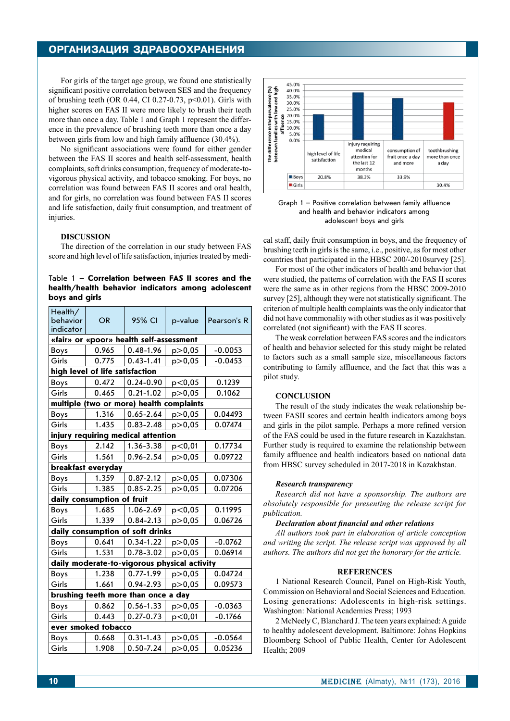## **организация здравоохранения**

For girls of the target age group, we found one statistically significant positive correlation between SES and the frequency of brushing teeth (OR 0.44, CI 0.27-0.73,  $p<0.01$ ). Girls with higher scores on FAS II were more likely to brush their teeth more than once a day. Table 1 and Graph 1 represent the difference in the prevalence of brushing teeth more than once a day between girls from low and high family affluence (30.4%).

No significant associations were found for either gender between the FAS II scores and health self-assessment, health complaints, soft drinks consumption, frequency of moderate-tovigorous physical activity, and tobacco smoking. For boys, no correlation was found between FAS II scores and oral health, and for girls, no correlation was found between FAS II scores and life satisfaction, daily fruit consumption, and treatment of injuries.

### **Discussion**

The direction of the correlation in our study between FAS score and high level of life satisfaction, injuries treated by medi-

## Table 1 – **Correlation between FAS II scores and the health/health behavior indicators among adolescent boys and girls**

| Health/<br>behavior<br>indicator             | <b>OR</b> | 95% CI        | p-value  | Pearson's R |
|----------------------------------------------|-----------|---------------|----------|-------------|
| «fair» or «poor» health self-assessment      |           |               |          |             |
| Boys                                         | 0.965     | $0.48 - 1.96$ | p > 0.05 | $-0.0053$   |
| Girls                                        | 0.775     | $0.43 - 1.41$ | p > 0,05 | $-0.0453$   |
| high level of life satisfaction              |           |               |          |             |
| Boys                                         | 0.472     | $0.24 - 0.90$ | p<0,05   | 0.1239      |
| Girls                                        | 0.465     | $0.21 - 1.02$ | p > 0,05 | 0.1062      |
| complaints<br>multiple (two or more) health  |           |               |          |             |
| Boys                                         | 1.316     | $0.65 - 2.64$ | p > 0,05 | 0.04493     |
| Girls                                        | 1.435     | $0.83 - 2.48$ | p > 0,05 | 0.07474     |
| injury requiring medical attention           |           |               |          |             |
| Boys                                         | 2.142     | 1.36-3.38     | p<0,01   | 0.17734     |
| Girls                                        | 1.561     | 0.96-2.54     | p > 0,05 | 0.09722     |
| breakfast everyday                           |           |               |          |             |
| Boys                                         | 1.359     | $0.87 - 2.12$ | p>0,05   | 0.07306     |
| Girls                                        | 1.385     | $0.85 - 2.25$ | p > 0,05 | 0.07206     |
| daily consumption of fruit                   |           |               |          |             |
| Boys                                         | 1.685     | 1.06-2.69     | p<0,05   | 0.11995     |
| Girls                                        | 1.339     | $0.84 - 2.13$ | p > 0,05 | 0.06726     |
| daily consumption of soft drinks             |           |               |          |             |
| Boys                                         | 0.641     | $0.34 - 1.22$ | p > 0,05 | $-0.0762$   |
| Girls                                        | 1.531     | $0.78 - 3.02$ | p > 0,05 | 0.06914     |
| daily moderate-to-vigorous physical activity |           |               |          |             |
| Boys                                         | 1.238     | $0.77 - 1.99$ | p > 0,05 | 0.04724     |
| Girls                                        | 1.661     | 0.94-2.93     | p > 0,05 | 0.09573     |
| brushing teeth more than once a day          |           |               |          |             |
| Boys                                         | 0.862     | $0.56 - 1.33$ | p > 0,05 | $-0.0363$   |
| Girls                                        | 0.443     | $0.27 - 0.73$ | p<0,01   | $-0.1766$   |
| ever smoked tobacco                          |           |               |          |             |
| Boys                                         | 0.668     | $0.31 - 1.43$ | p > 0,05 | $-0.0564$   |
| Girls                                        | 1.908     | $0.50 - 7.24$ | p > 0,05 | 0.05236     |



Graph 1 – Positive correlation between family affluence and health and behavior indicators among adolescent boys and girls

cal staff, daily fruit consumption in boys, and the frequency of brushing teeth in girls is the same, i.e., positive, as for most other countries that participated in the HBSC 200/-2010survey [25].

For most of the other indicators of health and behavior that were studied, the patterns of correlation with the FAS II scores were the same as in other regions from the HBSC 2009-2010 survey [25], although they were not statistically significant. The criterion of multiple health complaints was the only indicator that did not have commonality with other studies as it was positively correlated (not significant) with the FAS II scores.

The weak correlation between FAS scores and the indicators of health and behavior selected for this study might be related to factors such as a small sample size, miscellaneous factors contributing to family affluence, and the fact that this was a pilot study.

### **Conclusion**

The result of the study indicates the weak relationship between FASII scores and certain health indicators among boys and girls in the pilot sample. Perhaps a more refined version of the FAS could be used in the future research in Kazakhstan. Further study is required to examine the relationship between family affluence and health indicators based on national data from HBSC survey scheduled in 2017-2018 in Kazakhstan.

#### *Research transparency*

*Research did not have a sponsorship. The authors are absolutely responsible for presenting the release script for publication.*

#### *Declaration about financial and other relations*

*All authors took part in elaboration of article conception and writing the script. The release script was approved by all authors. The authors did not get the honorary for the article.*

#### **REFERENCES**

1 National Research Council, Panel on High-Risk Youth, Commission on Behavioral and Social Sciences and Education. Losing generations: Adolescents in high-risk settings. Washington: National Academies Press; 1993

2 McNeely C, Blanchard J. The teen years explained: A guide to healthy adolescent development. Baltimore: Johns Hopkins Bloomberg School of Public Health, Center for Adolescent Health; 2009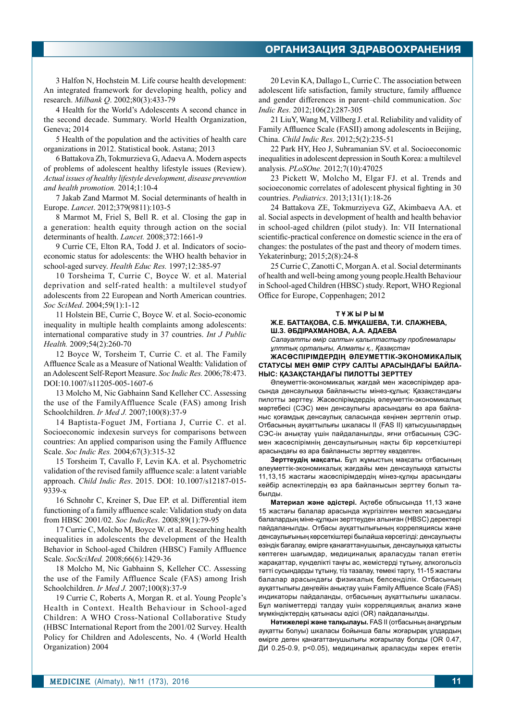3 Halfon N, Hochstein M. Life course health development: An integrated framework for developing health, policy and research. *Milbank Q*. 2002;80(3):433-79

4 Health for the World's Adolescents A second chance in the second decade. Summary. World Health Organization, Geneva; 2014

5 Health of the population and the activities of health care organizations in 2012. Statistical book. Astana; 2013

6 Battakova Zh, Tokmurzieva G, Adaeva A. Modern aspects of problems of adolescent healthy lifestyle issues (Review). *Actual issues of healthy lifestyle development, disease prevention and health promotion.* 2014;1:10-4

7 Jakab Zand Marmot M. Social determinants of health in Europe. *Lancet*. 2012;379(9811):103-5

8 Marmot M, Friel S, Bell R. et al. Closing the gap in a generation: health equity through action on the social determinants of health. *Lancet.* 2008;372:1661-9

9 Currie CE, Elton RA, Todd J. et al. Indicators of socioeconomic status for adolescents: the WHO health behavior in school-aged survey. *Health Educ Res.* 1997;12:385-97

10 Torsheima T, Currie C, Boyce W. et al. Material deprivation and self-rated health: a multilevel studyof adolescents from 22 European and North American countries. *Soc SciMed*. 2004;59(1):1-12

11 Holstein BE, Currie C, Boyce W. et al. Socio-economic inequality in multiple health complaints among adolescents: international comparative study in 37 countries. *Int J Public Health.* 2009;54(2):260-70

12 Boyce W, Torsheim T, Currie C. et al. The Family Affluence Scale as a Measure of National Wealth: Validation of an Adolescent Self-Report Measure. *Soc Indic Res.* 2006;78:473. DOI:10.1007/s11205-005-1607-6

13 Molcho M, Nic Gabhainn Sand Kelleher CC. Assessing the use of the FamilyAffluence Scale (FAS) among Irish Schoolchildren. *Ir Med J.* 2007;100(8):37-9

14 Baptista-Foguet JM, Fortiana J, Currie C. et al. Socioeconomic indexesin surveys for comparisons between countries: An applied comparison using the Family Affluence Scale. *Soc Indic Res.* 2004;67(3):315-32

15 Torsheim T, Cavallo F, Levin KA. et al. Psychometric validation of the revised family affluence scale: a latent variable approach. *Child Indic Res*. 2015. DOI: 10.1007/s12187-015- 9339-x

16 Schnohr C, Kreiner S, Due EP. et al. Differential item functioning of a family affluence scale: Validation study on data from HBSC 2001/02. *Soc IndicRes*. 2008;89(1):79-95

17 Currie C, Molcho M, Boyce W. et al. Researching health inequalities in adolescents the development of the Health Behavior in School-aged Children (HBSC) Family Affluence Scale. *SocSciMed.* 2008;66(6):1429-36

18 Molcho M, Nic Gabhainn S, Kelleher CC. Assessing the use of the Family Affluence Scale (FAS) among Irish Schoolchildren. *Ir Med J.* 2007;100(8):37-9

19 Currie C, Roberts A, Morgan R. et al. Young People's Health in Context. Health Behaviour in School-aged Children: A WHO Cross-National Collaborative Study (HBSC International Report from the 2001/02 Survey. Health Policy for Children and Adolescents, No. 4 (World Health Organization) 2004

20 Levin KA, Dallago L, Currie C. The association between adolescent life satisfaction, family structure, family affluence and gender differences in parent–child communication. *Soc Indic Res.* 2012;106(2):287-305

21 LiuY, Wang M, Villberg J. et al. Reliability and validity of Family Affluence Scale (FASII) among adolescents in Beijing, China. *Child Indic Res*. 2012;5(2):235-51

22 Park HY, Heo J, Subramanian SV. et al. Socioeconomic inequalities in adolescent depression in South Korea: a multilevel analysis. *PLoSOne.* 2012;7(10):47025

23 Pickett W, Molcho M, Elgar FJ. et al. Trends and socioeconomic correlates of adolescent physical fighting in 30 countries. *Pediatrics*. 2013;131(1):18-26

24 Battakova ZE, Tokmurziyeva GZ, Akimbaeva AA. et al. Social aspects in development of health and health behavior in school-aged children (pilot study). In: VII International scientific-practical conference on domestic science in the era of changes: the postulates of the past and theory of modern times. Yekaterinburg; 2015;2(8):24-8

25 Currie C, Zanotti C, Morgan A. et al. Social determinants of health and well-being among young people.Health Behaviour in School-aged Children (HBSC) study. Report, WHO Regional Office for Europe, Coppenhagen; 2012

#### **ТҰЖЫРЫМ**

### **Ж.Е. Баттақова, С.Б. Мұқашева, Т.И. Слажнева, Ш.З. Әбдірахманова, А.А. Адаева**

*Салауатты өмір салтын қалыптастыру проблемалары ұлттық орталығы, Алматы қ., Қазақстан*

**Жасөспірімдердің әлеуметтік-экономикалық статусы мен өмір сүру салты арасындағы байланыс: Қазақстандағы пилотты зерттеу** 

Әлеуметтік-экономикалық жағдай мен жасөспірімдер арасында денсаулыққа байланысты мінез-құлық: Қазақстандағы пилотты зерттеу. Жасөспірімдердің әлеуметтік-экономикалық мәртебесі (СЭС) мен денсаулығы арасындағы өз ара байланыс қоғамдық денсаулық саласында кеңінен зерттеліп отыр. Отбасының ауқаттылығы шкаласы II (FAS II) қатысушылардың СЭС-ін анықтау үшін пайдаланылды, яғни отбасының СЭСмен жасөспірімнің денсаулығының нақты бір көрсеткіштері арасындағы өз ара байланысты зерттеу көзделген.

**Зерттеудің мақсаты.** Бұл жұмыстың мақсаты отбасының әлеуметтік-экономикалық жағдайы мен денсаулыққа қатысты 11,13,15 жастағы жасөспірімдердің мінез-құлқы арасындағы кейбір аспектілердің өз ара байланысын зерттеу болып табылды.

**Материал және әдістері.** Ақтөбе облысында 11,13 және 15 жастағы балалар арасында жүргізілген мектеп жасындағы балалардың міне-құлқын зерттеуден алынған (HBSC) деректері пайдаланылды. Отбасы ауқаттылығының корреляциясы және денсаулығының көрсеткіштері былайша көрсетілді: денсаулықты өзіндік бағалау, өмірге қанағаттанушылық, денсаулыққа қатысты көптеген шағымдар, медициналық араласуды талап ететін жарақаттар, күнделікті таңғы ас, жемістерді тұтыну, алкогольсіз тәтті сусындарды тұтыну, тіз тазалау, темекі тарту, 11-15 жастағы балалар арасындағы физикалық белсенділік. Отбасының ауқаттылығы деңгейін анықтау үшін Family Affluence Scale (FAS) индикаторы пайдаланды, отбасының ауқаттылығы шкаласы. Бұл мәліметтерді талдау үшін корреляциялық анализ және мүмкіндіктердің қатынасы әдісі (OR) пайдаланылды.

**Нәтижелері және талқылауы.** FAS II (отбасының анағұрлым ауқатты болуы) шкаласы бойынша балы жоғарырақ ұлдардың өмірге деген қанағаттанушылығы жоғарылау болды (OR 0.47, ДИ 0.25-0.9, p<0.05), медициналық араласуды керек ететін